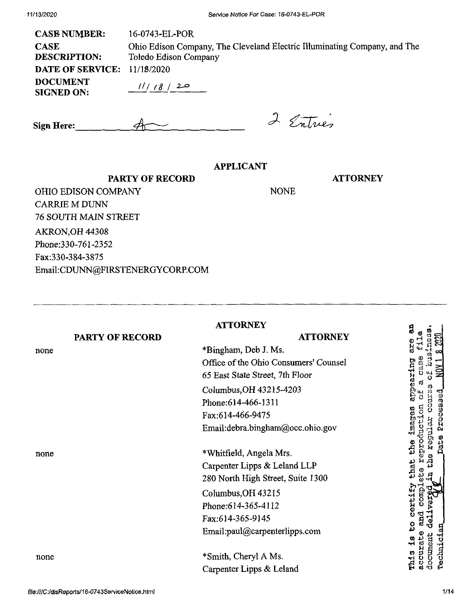| <b>CASE NUMBER:</b>                  | 16-0743-EL-POR                                                                                     |
|--------------------------------------|----------------------------------------------------------------------------------------------------|
| <b>CASE</b><br><b>DESCRIPTION:</b>   | Ohio Edison Company, The Cleveland Electric Illuminating Company, and The<br>Toledo Edison Company |
| <b>DATE OF SERVICE: 11/18/2020</b>   |                                                                                                    |
| <b>DOCUMENT</b><br><b>SIGNED ON:</b> | 11/18/20                                                                                           |

 $\mathcal{A}$ **Sign Here:**

**PARTY OF RECORD**

# 2 Entres

NONE

### **APPLICANT**

**ATTORNEY**

OHIO EDISON COMPANY CARRIE M DUNN 76 SOUTH MAIN STREET AKRON,OH 44308 Phone:330-761-2352 Fax:330-384-3875 Email:CDUNN@FIRSTENERGYCORP.COM

|                 | <b>ATTORNEY</b>                       | g                          |
|-----------------|---------------------------------------|----------------------------|
| PARTY OF RECORD | <b>ATTORNEY</b>                       | -1                         |
| none            | *Bingham, Deb J. Ms.                  | oro<br>Ci                  |
|                 | Office of the Ohio Consumers' Counsel | Ğ.                         |
|                 | 65 East State Street, 7th Floor       | earing                     |
|                 | Columbus, OH 43215-4203               |                            |
|                 | Phone: 614-466-1311                   | ್ವ                         |
|                 | Fax:614-466-9475                      | Proces                     |
|                 | Email:debra.bingham@occ.ohio.gov      | to<br>Cisco                |
|                 |                                       | Dute<br>ed.                |
| none            | *Whitfield, Angela Mrs.               | egy                        |
|                 | Carpenter Lipps & Leland LLP          | Lhat                       |
|                 | 280 North High Street, Suite 1300     |                            |
|                 | Columbus, OH 43215                    | certify<br>Ē               |
|                 | Phone: 614-365-4112                   |                            |
|                 | Fax:614-365-9145                      | and                        |
|                 | Email:paul@carpenterlipps.com         | ႙<br>Technician<br>۰H      |
| none            | *Smith, Cheryl A Ms.                  | document<br>ccurat<br>This |
|                 | Carpenter Lipps & Leland              |                            |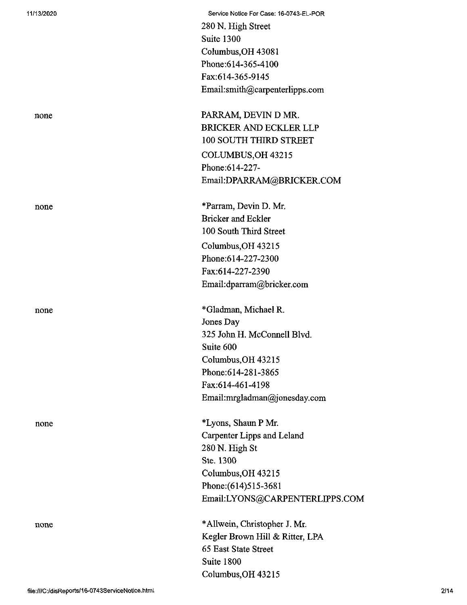| 11/13/2020 | Service Notice For Case: 16-0743-EL-POR |
|------------|-----------------------------------------|
|            | 280 N. High Street                      |
|            | Suite 1300                              |
|            | Columbus, OH 43081                      |
|            | Phone: 614-365-4100                     |
|            | Fax:614-365-9145                        |
|            | Email:smith@carpenterlipps.com          |
| none       | PARRAM, DEVIN D MR.                     |
|            | BRICKER AND ECKLER LLP                  |
|            | 100 SOUTH THIRD STREET                  |
|            | COLUMBUS, OH 43215                      |
|            | Phone: 614-227-                         |
|            | Email:DPARRAM@BRICKER.COM               |
| none       | *Parram, Devin D. Mr.                   |
|            | <b>Bricker and Eckler</b>               |
|            | 100 South Third Street                  |
|            | Columbus, OH 43215                      |
|            | Phone:614-227-2300                      |
|            | Fax:614-227-2390                        |
|            | Email:dparram@bricker.com               |
| none       | *Gladman, Michael R.                    |
|            | Jones Day                               |
|            | 325 John H. McConnell Blvd.             |
|            | Suite 600                               |
|            | Columbus, OH 43215                      |
|            | Phone: 614-281-3865                     |
|            | Fax:614-461-4198                        |
|            | Email:mrgladman@jonesday.com            |
| none       | *Lyons, Shaun P Mr.                     |
|            | Carpenter Lipps and Leland              |
|            | 280 N. High St                          |
|            | Ste. 1300                               |
|            | Columbus, OH 43215                      |
|            | Phone: (614) 515-3681                   |
|            | Email:LYONS@CARPENTERLIPPS.COM          |
| none       | *Allwein, Christopher J. Mr.            |
|            | Kegler Brown Hill & Ritter, LPA         |
|            | 65 East State Street                    |
|            | Suite 1800                              |
|            | Columbus, OH 43215                      |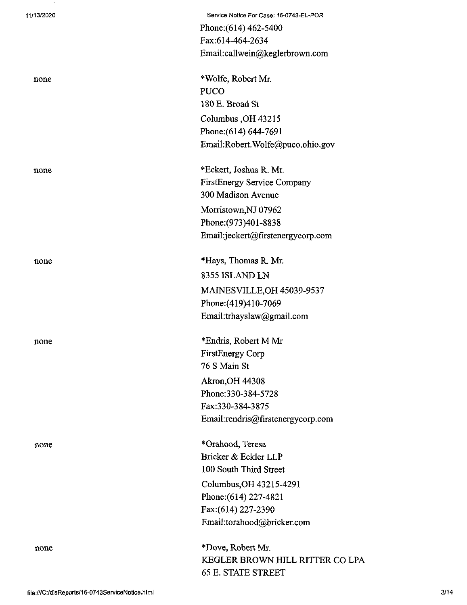| 11/13/2020 | Service Notice For Case: 16-0743-EL-POR |
|------------|-----------------------------------------|
|            | Phone: (614) 462-5400                   |
|            | Fax:614-464-2634                        |
|            | Email:callwein@keglerbrown.com          |
| none       | *Wolfe, Robert Mr.                      |
|            | <b>PUCO</b>                             |
|            | 180 E. Broad St                         |
|            | Columbus, OH 43215                      |
|            | Phone: (614) 644-7691                   |
|            | Email:Robert.Wolfe@puco.ohio.gov        |
| none       | *Eckert, Joshua R. Mr.                  |
|            | FirstEnergy Service Company             |
|            | 300 Madison Avenue                      |
|            | Morristown, NJ 07962                    |
|            | Phone: (973)401-8838                    |
|            | Email:jeckert@firstenergycorp.com       |
| none       | *Hays, Thomas R. Mr.                    |
|            | 8355 ISLAND LN                          |
|            | <b>MAINESVILLE, OH 45039-9537</b>       |
|            | Phone: (419)410-7069                    |
|            | Email:trhayslaw@gmail.com               |
| none       | *Endris, Robert M Mr                    |
|            | <b>FirstEnergy Corp</b>                 |
|            | 76 S Main St                            |
|            | <b>Akron, OH 44308</b>                  |
|            | Phone: 330-384-5728                     |
|            | Fax:330-384-3875                        |
|            | Email:rendris@firstenergycorp.com       |
| none       | *Orahood, Teresa                        |
|            | Bricker & Eckler LLP                    |
|            | 100 South Third Street                  |
|            | Columbus, OH 43215-4291                 |
|            | Phone: (614) 227-4821                   |
|            | Fax:(614) 227-2390                      |
|            | Email:torahood@bricker.com              |
| none       | *Dove, Robert Mr.                       |
|            | KEGLER BROWN HILL RITTER CO LPA         |
|            | <b>65 E. STATE STREET</b>               |

 $\sim 20$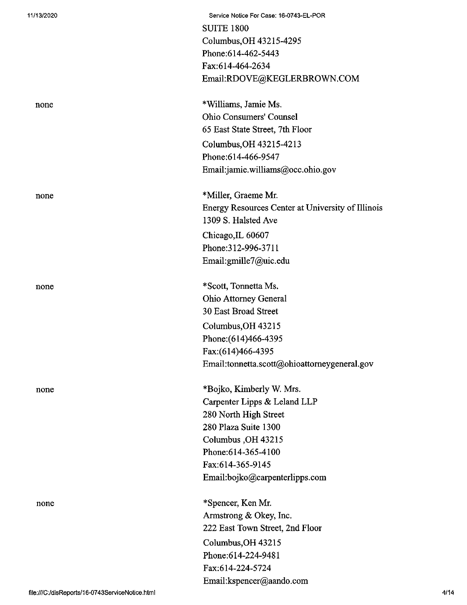| 11/13/2020 | Service Notice For Case: 16-0743-EL-POR           |
|------------|---------------------------------------------------|
|            | <b>SUITE 1800</b>                                 |
|            | Columbus, OH 43215-4295                           |
|            | Phone: 614-462-5443                               |
|            | Fax:614-464-2634                                  |
|            | Email:RDOVE@KEGLERBROWN.COM                       |
| none       | *Williams, Jamie Ms.                              |
|            | <b>Ohio Consumers' Counsel</b>                    |
|            | 65 East State Street, 7th Floor                   |
|            | Columbus, OH 43215-4213                           |
|            | Phone:614-466-9547                                |
|            | Email:jamie.williams@occ.ohio.gov                 |
| none       | *Miller, Graeme Mr.                               |
|            | Energy Resources Center at University of Illinois |
|            | 1309 S. Halsted Ave                               |
|            | Chicago, IL 60607                                 |
|            | Phone: 312-996-3711                               |
|            | Email:gmille7@uic.edu                             |
|            |                                                   |
| none       | *Scott, Tonnetta Ms.                              |
|            | <b>Ohio Attorney General</b>                      |
|            | 30 East Broad Street                              |
|            | Columbus, OH 43215                                |
|            | Phone: (614)466-4395                              |
|            | Fax:(614)466-4395                                 |
|            | Email:tonnetta.scott@ohioattorneygeneral.gov      |
| none       | *Bojko, Kimberly W. Mrs.                          |
|            | Carpenter Lipps & Leland LLP                      |
|            | 280 North High Street                             |
|            | 280 Plaza Suite 1300                              |
|            | Columbus, OH 43215                                |
|            | Phone: 614-365-4100                               |
|            | Fax:614-365-9145                                  |
|            | Email:bojko@carpenterlipps.com                    |
| none       | *Spencer, Ken Mr.                                 |
|            | Armstrong & Okey, Inc.                            |
|            | 222 East Town Street, 2nd Floor                   |
|            | Columbus, OH 43215                                |
|            | Phone:614-224-9481                                |
|            | Fax:614-224-5724                                  |
|            | Email:kspencer@aando.com                          |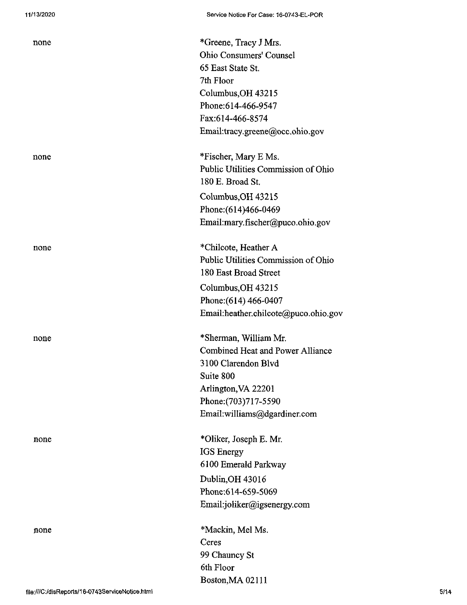| none | *Greene, Tracy J Mrs.                |
|------|--------------------------------------|
|      | Ohio Consumers' Counsel              |
|      | 65 East State St.                    |
|      | 7th Floor                            |
|      | Columbus, OH 43215                   |
|      | Phone:614-466-9547                   |
|      | Fax:614-466-8574                     |
|      | Email:tracy.greene@occ.ohio.gov      |
| none | *Fischer, Mary E Ms.                 |
|      | Public Utilities Commission of Ohio  |
|      | 180 E. Broad St.                     |
|      | Columbus, OH 43215                   |
|      | Phone: (614) 466-0469                |
|      | Email:mary.fischer@puco.ohio.gov     |
| none | *Chilcote, Heather A                 |
|      | Public Utilities Commission of Ohio  |
|      | 180 East Broad Street                |
|      | Columbus, OH 43215                   |
|      | Phone: (614) 466-0407                |
|      | Email:heather.chilcote@puco.ohio.gov |
| none | *Sherman, William Mr.                |
|      | Combined Heat and Power Alliance     |
|      | 3100 Clarendon Blvd                  |
|      | Suite 800                            |
|      | Arlington, VA 22201                  |
|      | Phone: (703) 717-5590                |
|      | Email:williams@dgardiner.com         |
| none | *Oliker, Joseph E. Mr.               |
|      | <b>IGS</b> Energy                    |
|      | 6100 Emerald Parkway                 |
|      | Dublin, OH 43016                     |
|      | Phone:614-659-5069                   |
|      | Email:joliker@igsenergy.com          |
| none | *Mackin, Mel Ms.                     |
|      | Ceres                                |
|      | 99 Chauncy St                        |
|      | 6th Floor                            |
|      | Boston, MA 02111                     |
|      |                                      |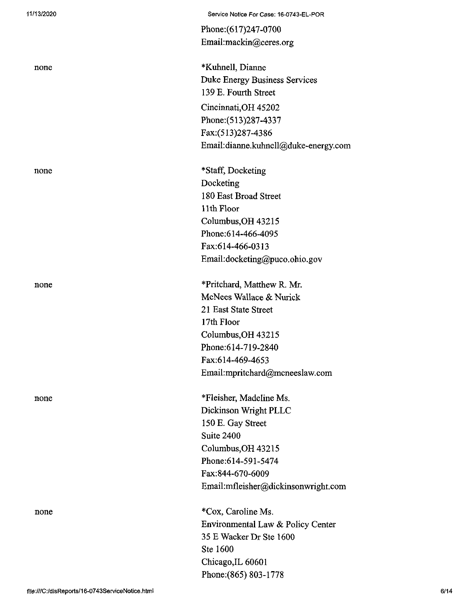| none |  |
|------|--|
|      |  |
|      |  |

## none

none<br>1

none

Service Notice For Case: 16-0743-EL-POR

Phone:(617)247-0700 Email:mackin@ceres.org

\*KuhneU, Dianne Duke Energy Business Services 139 E. Fourth Street Cincinnati,OH 45202 Phone:(513)287-4337 Fax:(513)287-4386 Email:dianne.kuhnell@duke-energy.com

\*Staff, Docketing Docketing 180 East Broad Street 11th Floor Columbus,OH 43215 Phone:614-466-4095 Fax:614-466-0313 Email:docketing@puco.ohio.gov

\*Pritchard, Matthew R. Mr. McNees Wallace & Nurick 21 East State Street 17th Floor Columbus,OH 43215 Phone:614-719-2840 Fax:614-469-4653 Email:mpritchard@mcneeslaw.com

\*Fleisher, Madeline Ms. Dickinson Wright PLLC 150 E. Gay Street Suite 2400 Columbus,OH 43215 Phone:614-591-5474 Fax:844-670-6009 Email:mfleisher@dickinsonwright.com

none \*Cox, Caroline Ms. Environmental Law & Policy Center 35 E Wacker Dr Ste 1600 Ste 1600 Chicago,IL 60601 Phone;(865) 803-1778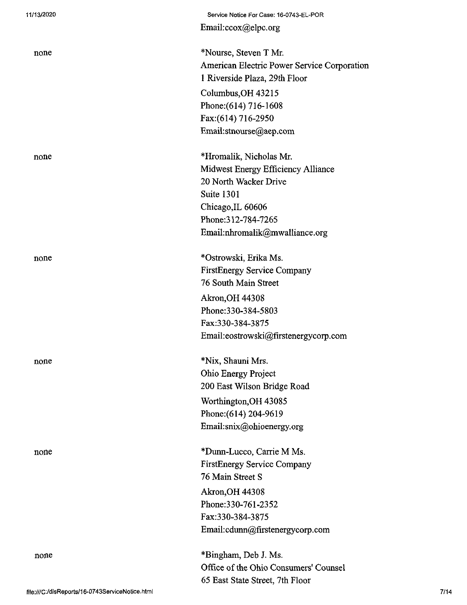| 11/13/2020 | Service Notice For Case: 16-0743-EL-POR     |
|------------|---------------------------------------------|
|            | Email:ccox@elpc.org                         |
| none       | *Nourse, Steven T Mr.                       |
|            | American Electric Power Service Corporation |
|            | 1 Riverside Plaza, 29th Floor               |
|            | Columbus, OH 43215                          |
|            | Phone: (614) 716-1608                       |
|            | Fax:(614) 716-2950                          |
|            | Email:stnourse@aep.com                      |
| none       | *Hromalik, Nicholas Mr.                     |
|            | Midwest Energy Efficiency Alliance          |
|            | 20 North Wacker Drive                       |
|            | Suite 1301                                  |
|            | Chicago, IL 60606                           |
|            | Phone: 312-784-7265                         |
|            | Email:nhromalik@mwalliance.org              |
| none       | *Ostrowski, Erika Ms.                       |
|            | <b>FirstEnergy Service Company</b>          |
|            | 76 South Main Street                        |
|            | Akron, OH 44308                             |
|            | Phone: 330-384-5803                         |
|            | Fax:330-384-3875                            |
|            | Email:eostrowski@firstenergycorp.com        |
| none       | *Nix, Shauni Mrs.                           |
|            | Ohio Energy Project                         |
|            | 200 East Wilson Bridge Road                 |
|            | Worthington, OH 43085                       |
|            | Phone: (614) 204-9619                       |
|            | Email:snix@ohioenergy.org                   |
| none       | *Dunn-Lucco, Carrie M Ms.                   |
|            | <b>FirstEnergy Service Company</b>          |
|            | 76 Main Street S                            |
|            | <b>Akron, OH 44308</b>                      |
|            | Phone: 330-761-2352                         |
|            | Fax:330-384-3875                            |
|            | Email:cdunn@firstenergycorp.com             |
| none       | *Bingham, Deb J. Ms.                        |
|            | Office of the Ohio Consumers' Counsel       |
|            | 65 East State Street, 7th Floor             |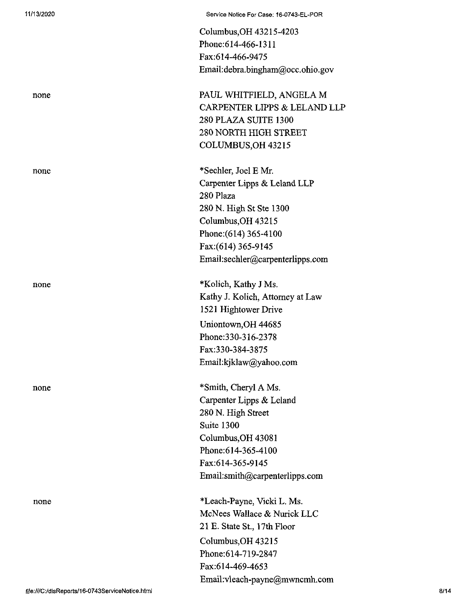|                                                 | Columbus, OH 43215-4203           |      |
|-------------------------------------------------|-----------------------------------|------|
|                                                 | Phone: 614-466-1311               |      |
|                                                 | Fax:614-466-9475                  |      |
|                                                 | Email: debra.bingham@occ.ohio.gov |      |
| none                                            | PAUL WHITFIELD, ANGELA M          |      |
|                                                 | CARPENTER LIPPS & LELAND LLP      |      |
|                                                 | 280 PLAZA SUITE 1300              |      |
|                                                 | 280 NORTH HIGH STREET             |      |
|                                                 | COLUMBUS, OH 43215                |      |
| none                                            | *Sechler, Joel E Mr.              |      |
|                                                 | Carpenter Lipps & Leland LLP      |      |
|                                                 | 280 Plaza                         |      |
|                                                 | 280 N. High St Ste 1300           |      |
|                                                 | Columbus, OH 43215                |      |
|                                                 | Phone: (614) 365-4100             |      |
|                                                 | Fax: (614) 365-9145               |      |
|                                                 | Email:sechler@carpenterlipps.com  |      |
| none                                            | *Kolich, Kathy J Ms.              |      |
|                                                 | Kathy J. Kolich, Attorney at Law  |      |
|                                                 | 1521 Hightower Drive              |      |
|                                                 | Uniontown, OH 44685               |      |
|                                                 | Phone: 330-316-2378               |      |
|                                                 | Fax:330-384-3875                  |      |
|                                                 | Email:kjklaw@yahoo.com            |      |
| none                                            | *Smith, Cheryl A Ms.              |      |
|                                                 | Carpenter Lipps & Leland          |      |
|                                                 | 280 N. High Street                |      |
|                                                 | Suite 1300                        |      |
|                                                 | Columbus, OH 43081                |      |
|                                                 | Phone: 614-365-4100               |      |
|                                                 | Fax:614-365-9145                  |      |
|                                                 | Email:smith@carpenterlipps.com    |      |
| none                                            | *Leach-Payne, Vicki L. Ms.        |      |
|                                                 | McNees Wallace & Nurick LLC       |      |
|                                                 | 21 E. State St., 17th Floor       |      |
|                                                 | Columbus, OH 43215                |      |
|                                                 | Phone: 614-719-2847               |      |
|                                                 | Fax:614-469-4653                  |      |
|                                                 | Email:vleach-payne@mwncmh.com     |      |
| file:///C:/disReports/16-0743ServiceNotice.html |                                   | 8/14 |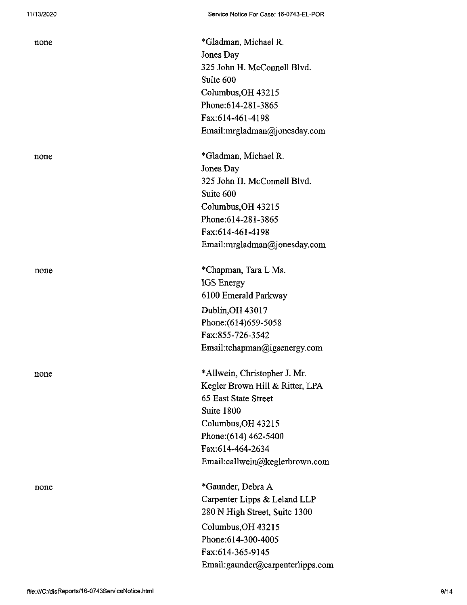| none | *Gladman, Michael R.<br>Jones Day<br>325 John H. McConnell Blvd.<br>Suite 600<br>Columbus, OH 43215<br>Phone: 614-281-3865<br>Fax:614-461-4198<br>Email:mrgladman@jonesday.com                             |
|------|------------------------------------------------------------------------------------------------------------------------------------------------------------------------------------------------------------|
| none | *Gladman, Michael R.<br>Jones Day<br>325 John H. McConnell Blvd.<br>Suite 600<br>Columbus, OH 43215<br>Phone: 614-281-3865<br>Fax:614-461-4198<br>Email:mrgladman@jonesday.com                             |
| none | *Chapman, Tara L Ms.<br>IGS Energy<br>6100 Emerald Parkway<br>Dublin, OH 43017<br>Phone: (614) 659-5058<br>Fax:855-726-3542<br>Email:tchapman@igsenergy.com                                                |
| none | *Allwein, Christopher J. Mr.<br>Kegler Brown Hill & Ritter, LPA<br>65 East State Street<br>Suite 1800<br>Columbus, OH 43215<br>Phone: (614) 462-5400<br>Fax:614-464-2634<br>Email:callwein@keglerbrown.com |
| none | *Gaunder, Debra A<br>Carpenter Lipps & Leland LLP<br>280 N High Street, Suite 1300<br>Columbus, OH 43215<br>Phone: 614-300-4005<br>Fax:614-365-9145<br>Email:gaunder@carpenterlipps.com                    |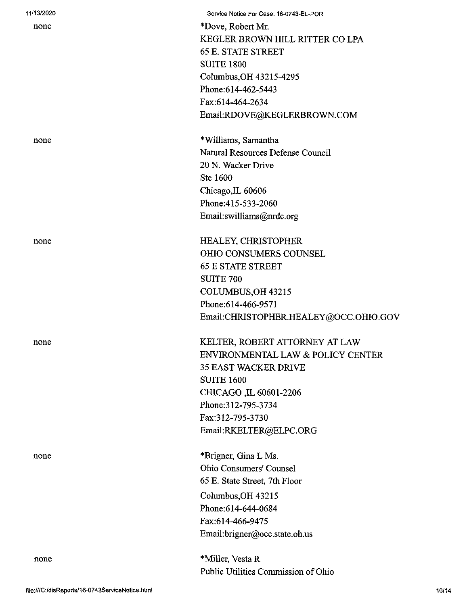| 11/13/2020 | Service Notice For Case: 16-0743-EL-POR |
|------------|-----------------------------------------|
| none       | *Dove, Robert Mr.                       |
|            | KEGLER BROWN HILL RITTER CO LPA         |
|            | <b>65 E. STATE STREET</b>               |
|            | <b>SUITE 1800</b>                       |
|            | Columbus, OH 43215-4295                 |
|            | Phone: 614-462-5443                     |
|            | Fax:614-464-2634                        |
|            | Email:RDOVE@KEGLERBROWN.COM             |
| none       | *Williams, Samantha                     |
|            | Natural Resources Defense Council       |
|            | 20 N. Wacker Drive                      |
|            | Ste 1600                                |
|            | Chicago, IL 60606                       |
|            | Phone:415-533-2060                      |
|            | Email:swilliams@nrdc.org                |
| none       | <b>HEALEY, CHRISTOPHER</b>              |
|            | OHIO CONSUMERS COUNSEL                  |
|            | <b>65 E STATE STREET</b>                |
|            | <b>SUITE 700</b>                        |
|            | COLUMBUS, OH 43215                      |
|            | Phone:614-466-9571                      |
|            | Email:CHRISTOPHER.HEALEY@OCC.OHIO.GOV   |
|            |                                         |
| none       | KELTER, ROBERT ATTORNEY AT LAW          |
|            | ENVIRONMENTAL LAW & POLICY CENTER       |
|            | <b>35 EAST WACKER DRIVE</b>             |
|            | <b>SUITE 1600</b>                       |
|            | CHICAGO, IL 60601-2206                  |
|            | Phone: 312-795-3734                     |
|            | Fax:312-795-3730                        |
|            | Email:RKELTER@ELPC.ORG                  |
| none       | *Brigner, Gina L Ms.                    |
|            | Ohio Consumers' Counsel                 |
|            | 65 E. State Street, 7th Floor           |
|            | Columbus, OH 43215                      |
|            | Phone: 614-644-0684                     |
|            | Fax:614-466-9475                        |
|            | Email:brigner@occ.state.oh.us           |
|            |                                         |
| none       | *Miller, Vesta R                        |
|            | Public Utilities Commission of Ohio     |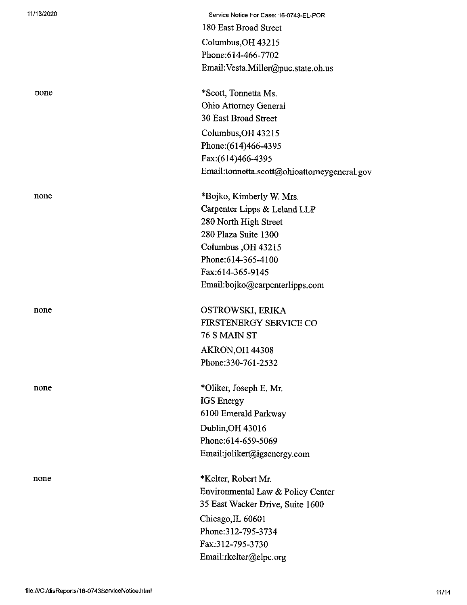| 11/13/2020 | Service Notice For Case: 16-0743-EL-POR      |
|------------|----------------------------------------------|
|            | 180 East Broad Street                        |
|            | Columbus, OH 43215                           |
|            | Phone: 614-466-7702                          |
|            | Email: Vesta.Miller@puc.state.oh.us          |
| none       | *Scott, Tonnetta Ms.                         |
|            | Ohio Attorney General                        |
|            | 30 East Broad Street                         |
|            | Columbus, OH 43215                           |
|            | Phone: (614) 466-4395                        |
|            | Fax: (614) 466-4395                          |
|            | Email:tonnetta.scott@ohioattorneygeneral.gov |
| none       | *Bojko, Kimberly W. Mrs.                     |
|            | Carpenter Lipps & Leland LLP                 |
|            | 280 North High Street                        |
|            | 280 Plaza Suite 1300                         |
|            | Columbus, OH 43215                           |
|            | Phone: 614-365-4100                          |
|            | Fax:614-365-9145                             |
|            | Email:bojko@carpenterlipps.com               |
| none       | OSTROWSKI, ERIKA                             |
|            | FIRSTENERGY SERVICE CO                       |
|            | 76 S MAIN ST                                 |
|            | AKRON, OH 44308                              |
|            | Phone:330-761-2532                           |
| none       | *Oliker, Joseph E. Mr.                       |
|            | <b>IGS</b> Energy                            |
|            | 6100 Emerald Parkway                         |
|            | Dublin, OH 43016                             |
|            | Phone:614-659-5069                           |
|            | Email:joliker@igsenergy.com                  |
| none       | *Kelter, Robert Mr.                          |
|            | Environmental Law & Policy Center            |
|            | 35 East Wacker Drive, Suite 1600             |
|            | Chicago, IL 60601                            |
|            | Phone: 312-795-3734                          |
|            | Fax:312-795-3730                             |
|            | Email:rkelter@elpc.org                       |
|            |                                              |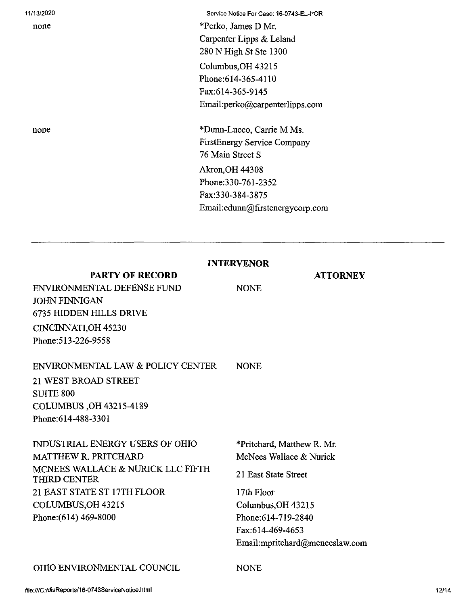| 11/13/2020                                      | Service Notice For Case: 16-0743-EL-POR            |
|-------------------------------------------------|----------------------------------------------------|
| none                                            | *Perko, James D Mr.                                |
|                                                 | Carpenter Lipps & Leland<br>280 N High St Ste 1300 |
|                                                 |                                                    |
|                                                 | Columbus, OH 43215<br>Phone: 614-365-4110          |
|                                                 | Fax:614-365-9145                                   |
|                                                 | Email:perko@carpenterlipps.com                     |
|                                                 |                                                    |
| none                                            | *Dunn-Lucco, Carrie M Ms.                          |
|                                                 | <b>FirstEnergy Service Company</b>                 |
|                                                 | 76 Main Street S                                   |
|                                                 | <b>Akron, OH 44308</b>                             |
|                                                 | Phone: 330-761-2352                                |
|                                                 | Fax:330-384-3875                                   |
| Email:cdunn@firstenergycorp.com                 |                                                    |
| <b>INTERVENOR</b>                               |                                                    |
| <b>PARTY OF RECORD</b>                          | <b>ATTORNEY</b>                                    |
| ENVIRONMENTAL DEFENSE FUND                      | <b>NONE</b>                                        |
| <b>JOHN FINNIGAN</b><br>6735 HIDDEN HILLS DRIVE |                                                    |
|                                                 |                                                    |
| CINCINNATI, OH 45230                            |                                                    |
| Phone: 513-226-9558                             |                                                    |
| ENVIRONMENTAL LAW & POLICY CENTER               | <b>NONE</b>                                        |
| 21 WEST BROAD STREET                            |                                                    |
| <b>SUITE 800</b>                                |                                                    |
| COLUMBUS, OH 43215-4189                         |                                                    |
| Phone:614-488-3301                              |                                                    |
| INDUSTRIAL ENERGY USERS OF OHIO                 | *Pritchard, Matthew R. Mr.                         |
| MATTHEW R. PRITCHARD                            | McNees Wallace & Nurick                            |
| MCNEES WALLACE & NURICK LLC FIFTH               | $\overline{a}$ $\overline{a}$                      |

21 East State Street

17th Floor Columbus, OH 43215 Phone:614-719-2840 Fax:614-469-4653 Email:mpritchard@mcneeslaw.com

## OHIO ENVIRONMENTAL COUNCIL NONE

21 EAST STATE ST 17TH FLOOR

THIRD CENTER

COLUMBUS,OH 43215 Phone:(614) 469-8000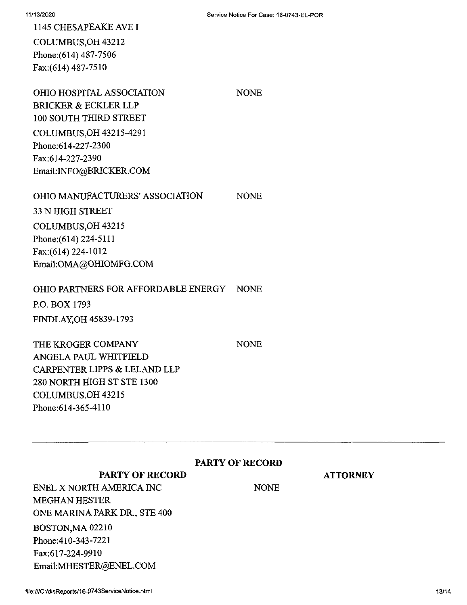1145 CHESAPEAKE AVEI COLUMBUS,OH 43212 Phone:(614) 487-7506 Fax:(614) 487-7510

OHIO HOSPITAL ASSOCIATION NONE BRICKER & ECKLER LLP 100 SOUTH THIRD STREET COLUMBUS,OH 43215-4291 Phone;614-227-2300 Fax;614-227-2390 Email:INFO@BRICKER.COM

#### OHIO MANUFACTURERS'ASSOCIATION NONE

33 N HIGH STREET COLUMBUS,OH 43215 Phone:(614) 224-5111 Fax:(614) 224-1012 Email:OMA@OHIOMFG.COM

## OHIO PARTNERS FOR AFFORDABLE ENERGY NONE

P.O. BOX 1793 FINDLAY,OH 45839-1793

THE KROGER COMPANY ANGELA PAUL WHITFIELD CARPENTER LIPPS & LELAND LLP 280 NORTH HIGH ST STE 1300 COLUMBUS,OH 43215 Phone:614-365-4110

NONE

#### **PARTY OF RECORD**

NONE

**ATTORNEY**

**PARTY OF RECORD**

ENEL X NORTH AMERICA INC MEGHAN HESTER ONE MARINA PARK DR., STE 400 BOSTON,MA 02210 Phone:410-343-7221 Fax:617-224-9910 Email:MHESTER@ENEL.COM